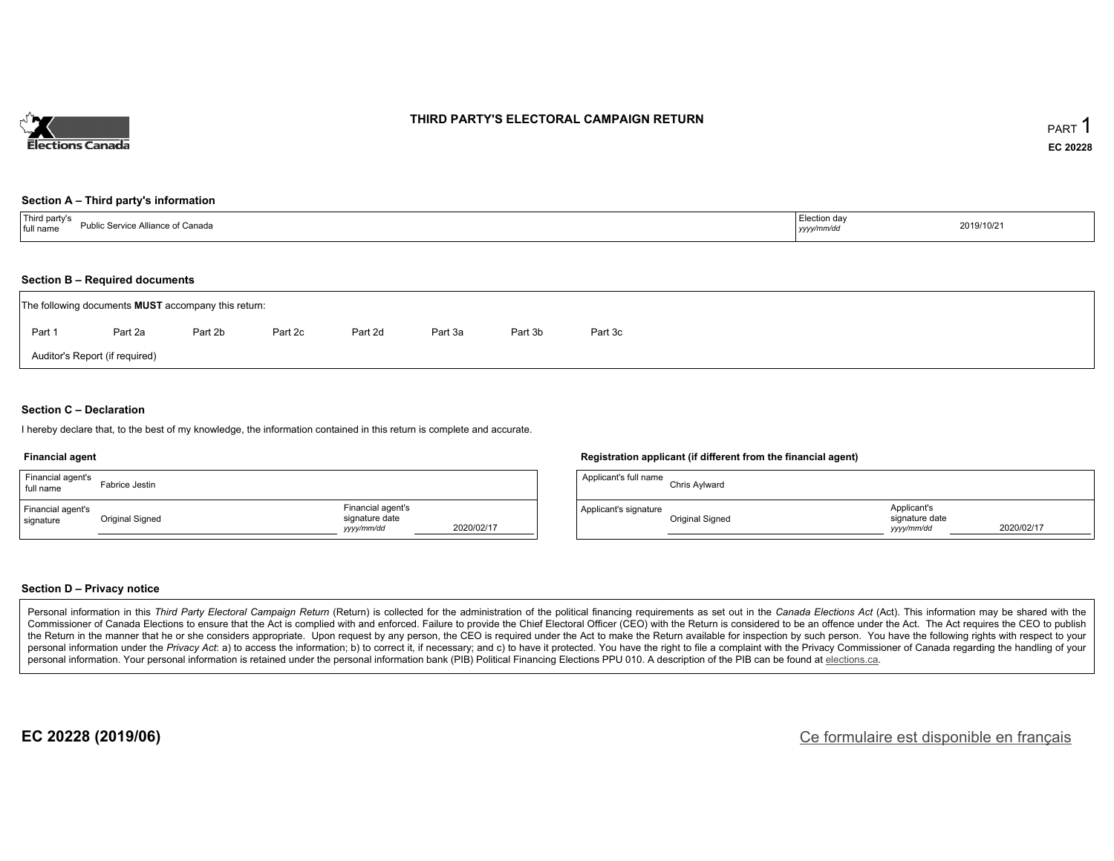

### **THIRD PARTY'S ELECTORAL CAMPAIGN RETURN**

#### **Section A – Third party's information**

| <sup>1</sup> Third party's<br><b>Public Service Alliance of Canada</b><br>full name | Election day<br>yyyy/mm/dd | 2019/10/21 |
|-------------------------------------------------------------------------------------|----------------------------|------------|
|-------------------------------------------------------------------------------------|----------------------------|------------|

#### **Section B – Required documents**

|        | The following documents <b>MUST</b> accompany this return: |         |         |         |         |         |         |  |  |  |  |  |
|--------|------------------------------------------------------------|---------|---------|---------|---------|---------|---------|--|--|--|--|--|
| Part 1 | Part 2a                                                    | Part 2b | Part 2c | Part 2d | Part 3a | Part 3b | Part 3c |  |  |  |  |  |
|        | Auditor's Report (if required)                             |         |         |         |         |         |         |  |  |  |  |  |

### **Section C – Declaration**

I hereby declare that, to the best of my knowledge, the information contained in this return is complete and accurate.

#### **Financial agent**

| Financial agent's<br>full name | Fabrice Jestin  |                                                                 | Applicant's full name      |
|--------------------------------|-----------------|-----------------------------------------------------------------|----------------------------|
| Financial agent's<br>signature | Original Signed | Financial agent's<br>signature date<br>2020/02/17<br>yyyy/mm/dd | Applicant's signature<br>- |

#### **Registration applicant (if different from the financial agent)**

| Applicant's full name | Chris Aylward   |                                             |            |
|-----------------------|-----------------|---------------------------------------------|------------|
| Applicant's signature | Original Signed | Applicant's<br>signature date<br>yyyy/mm/dd | 2020/02/17 |

#### **Section D – Privacy notice**

Personal information in this Third Party Electoral Campaign Return (Return) is collected for the administration of the political financing requirements as set out in the Canada Elections Act (Act). This information may be Commissioner of Canada Elections to ensure that the Act is complied with and enforced. Failure to provide the Chief Electoral Officer (CEO) with the Return is considered to be an offence under the Act. The Act requires the the Return in the manner that he or she considers appropriate. Upon request by any person, the CEO is required under the Act to make the Return available for inspection by such person. You have the following rights with re personal information under the Privacy Act: a) to access the information; b) to correct it, if necessary; and c) to have it protected. You have the right to file a complaint with the Privacy Commissioner of Canada regardin personal information. Your personal information is retained under the personal information bank (PIB) Political Financing Elections PPU 010. A description of the PIB can be found at elections.ca.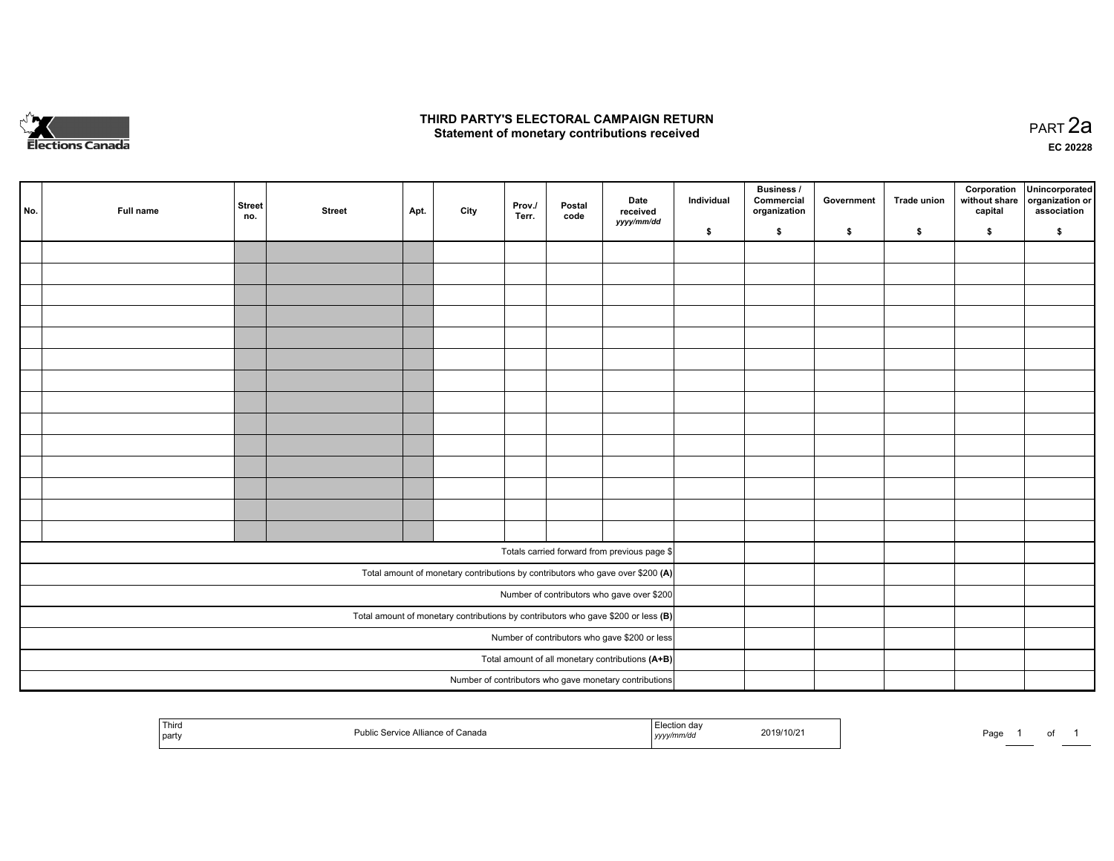

### **THIRD PARTY'S ELECTORAL CAMPAIGN RETURN HIRD PARTY'S ELECTORAL CAMPAIGN RETURN<br>Statement of monetary contributions received PART 2a PART 2a**

**EC 20228**

| No. | Full name | <b>Street</b><br>no.                                                                | <b>Street</b> | Apt. | City | Prov./<br>Terr. | Postal<br>code | Date<br>received                                                               | Individual | <b>Business /</b><br>Commercial<br>organization | Government | Trade union | Corporation<br>without share<br>capital | Unincorporated<br>organization or<br>association |
|-----|-----------|-------------------------------------------------------------------------------------|---------------|------|------|-----------------|----------------|--------------------------------------------------------------------------------|------------|-------------------------------------------------|------------|-------------|-----------------------------------------|--------------------------------------------------|
|     |           |                                                                                     |               |      |      |                 |                | yyyy/mm/dd                                                                     | \$         | \$                                              | \$         | \$          | \$                                      | \$                                               |
|     |           |                                                                                     |               |      |      |                 |                |                                                                                |            |                                                 |            |             |                                         |                                                  |
|     |           |                                                                                     |               |      |      |                 |                |                                                                                |            |                                                 |            |             |                                         |                                                  |
|     |           |                                                                                     |               |      |      |                 |                |                                                                                |            |                                                 |            |             |                                         |                                                  |
|     |           |                                                                                     |               |      |      |                 |                |                                                                                |            |                                                 |            |             |                                         |                                                  |
|     |           |                                                                                     |               |      |      |                 |                |                                                                                |            |                                                 |            |             |                                         |                                                  |
|     |           |                                                                                     |               |      |      |                 |                |                                                                                |            |                                                 |            |             |                                         |                                                  |
|     |           |                                                                                     |               |      |      |                 |                |                                                                                |            |                                                 |            |             |                                         |                                                  |
|     |           |                                                                                     |               |      |      |                 |                |                                                                                |            |                                                 |            |             |                                         |                                                  |
|     |           |                                                                                     |               |      |      |                 |                |                                                                                |            |                                                 |            |             |                                         |                                                  |
|     |           |                                                                                     |               |      |      |                 |                |                                                                                |            |                                                 |            |             |                                         |                                                  |
|     |           |                                                                                     |               |      |      |                 |                |                                                                                |            |                                                 |            |             |                                         |                                                  |
|     |           |                                                                                     |               |      |      |                 |                |                                                                                |            |                                                 |            |             |                                         |                                                  |
|     |           |                                                                                     |               |      |      |                 |                |                                                                                |            |                                                 |            |             |                                         |                                                  |
|     |           |                                                                                     |               |      |      |                 |                |                                                                                |            |                                                 |            |             |                                         |                                                  |
|     |           |                                                                                     |               |      |      |                 |                | Totals carried forward from previous page \$                                   |            |                                                 |            |             |                                         |                                                  |
|     |           |                                                                                     |               |      |      |                 |                | Total amount of monetary contributions by contributors who gave over \$200 (A) |            |                                                 |            |             |                                         |                                                  |
|     |           |                                                                                     |               |      |      |                 |                | Number of contributors who gave over \$200                                     |            |                                                 |            |             |                                         |                                                  |
|     |           | Total amount of monetary contributions by contributors who gave \$200 or less $(B)$ |               |      |      |                 |                |                                                                                |            |                                                 |            |             |                                         |                                                  |
|     |           |                                                                                     |               |      |      |                 |                | Number of contributors who gave \$200 or less                                  |            |                                                 |            |             |                                         |                                                  |
|     |           |                                                                                     |               |      |      |                 |                | Total amount of all monetary contributions (A+B)                               |            |                                                 |            |             |                                         |                                                  |
|     |           |                                                                                     |               |      |      |                 |                | Number of contributors who gave monetary contributions                         |            |                                                 |            |             |                                         |                                                  |

|  | <b>Third</b><br>party | i Canada<br>vice Alliance of<br>San<br>ublic? | ı dav<br>.<br>nm/du<br>,,,,, | 2019/10/21 | Page | ______ |  |  |
|--|-----------------------|-----------------------------------------------|------------------------------|------------|------|--------|--|--|
|--|-----------------------|-----------------------------------------------|------------------------------|------------|------|--------|--|--|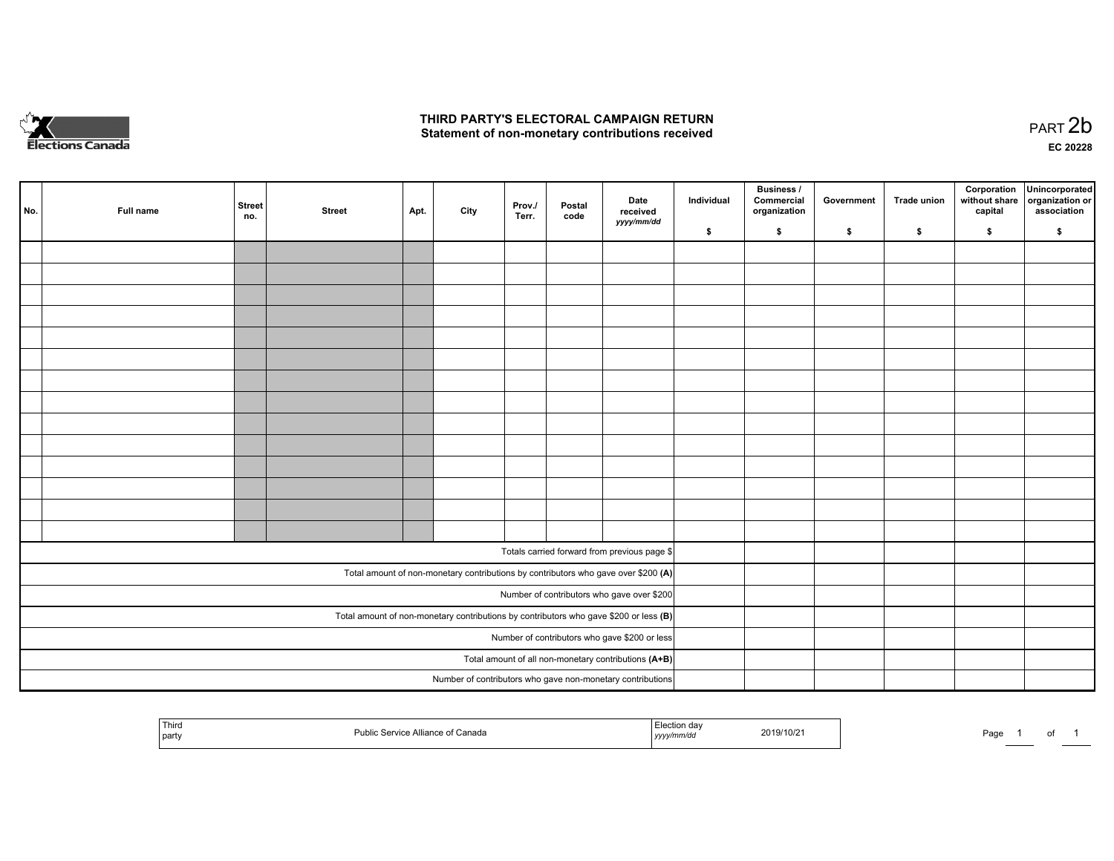

### **THIRD PARTY'S ELECTORAL CAMPAIGN RETURN**  THIRD PARTY'S ELECTORAL CAMPAIGN RETURN<br>Statement of non-monetary contributions received

of 1

| No.                                           | Full name | <b>Street</b><br>no. | <b>Street</b> | Apt. | City | Prov./<br>Terr. | Postal<br>code | Date<br>received<br>yyyy/mm/dd                                                          | Individual | <b>Business /</b><br>Commercial<br>organization | Government | Trade union | capital | Corporation Unincorporated<br>without share organization or<br>association |
|-----------------------------------------------|-----------|----------------------|---------------|------|------|-----------------|----------------|-----------------------------------------------------------------------------------------|------------|-------------------------------------------------|------------|-------------|---------|----------------------------------------------------------------------------|
|                                               |           |                      |               |      |      |                 |                |                                                                                         | \$         | \$                                              | \$         | \$          | \$      | \$                                                                         |
|                                               |           |                      |               |      |      |                 |                |                                                                                         |            |                                                 |            |             |         |                                                                            |
|                                               |           |                      |               |      |      |                 |                |                                                                                         |            |                                                 |            |             |         |                                                                            |
|                                               |           |                      |               |      |      |                 |                |                                                                                         |            |                                                 |            |             |         |                                                                            |
|                                               |           |                      |               |      |      |                 |                |                                                                                         |            |                                                 |            |             |         |                                                                            |
|                                               |           |                      |               |      |      |                 |                |                                                                                         |            |                                                 |            |             |         |                                                                            |
|                                               |           |                      |               |      |      |                 |                |                                                                                         |            |                                                 |            |             |         |                                                                            |
|                                               |           |                      |               |      |      |                 |                |                                                                                         |            |                                                 |            |             |         |                                                                            |
|                                               |           |                      |               |      |      |                 |                |                                                                                         |            |                                                 |            |             |         |                                                                            |
|                                               |           |                      |               |      |      |                 |                |                                                                                         |            |                                                 |            |             |         |                                                                            |
|                                               |           |                      |               |      |      |                 |                |                                                                                         |            |                                                 |            |             |         |                                                                            |
|                                               |           |                      |               |      |      |                 |                |                                                                                         |            |                                                 |            |             |         |                                                                            |
|                                               |           |                      |               |      |      |                 |                |                                                                                         |            |                                                 |            |             |         |                                                                            |
|                                               |           |                      |               |      |      |                 |                |                                                                                         |            |                                                 |            |             |         |                                                                            |
|                                               |           |                      |               |      |      |                 |                |                                                                                         |            |                                                 |            |             |         |                                                                            |
|                                               |           |                      |               |      |      |                 |                | Totals carried forward from previous page \$                                            |            |                                                 |            |             |         |                                                                            |
|                                               |           |                      |               |      |      |                 |                |                                                                                         |            |                                                 |            |             |         |                                                                            |
|                                               |           |                      |               |      |      |                 |                | Total amount of non-monetary contributions by contributors who gave over \$200 (A)      |            |                                                 |            |             |         |                                                                            |
|                                               |           |                      |               |      |      |                 |                | Number of contributors who gave over \$200                                              |            |                                                 |            |             |         |                                                                            |
|                                               |           |                      |               |      |      |                 |                | Total amount of non-monetary contributions by contributors who gave \$200 or less $(B)$ |            |                                                 |            |             |         |                                                                            |
| Number of contributors who gave \$200 or less |           |                      |               |      |      |                 |                |                                                                                         |            |                                                 |            |             |         |                                                                            |
|                                               |           |                      |               |      |      |                 |                | Total amount of all non-monetary contributions (A+B)                                    |            |                                                 |            |             |         |                                                                            |
|                                               |           |                      |               |      |      |                 |                | Number of contributors who gave non-monetary contributions                              |            |                                                 |            |             |         |                                                                            |

| Third<br>∣ party | <sup>:</sup> Canada<br>Alliance<br>Pub. | …uon dav<br>2019/10/21<br>mm/ac<br>,,,,, | Page<br>$\sim$ |
|------------------|-----------------------------------------|------------------------------------------|----------------|
|------------------|-----------------------------------------|------------------------------------------|----------------|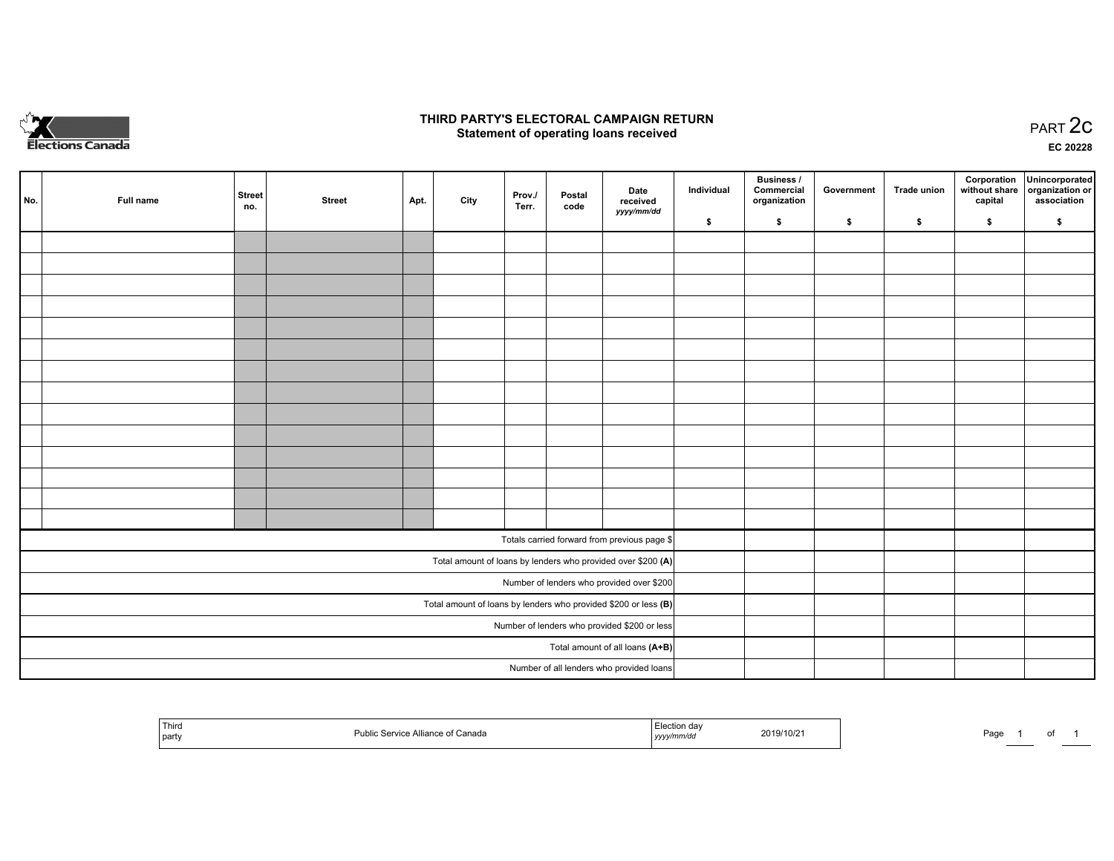

## **THIRD PARTY'S ELECTORAL CAMPAIGN RETURN STATE:** PRACT OF OPPRESS TO PART 2C STATE STATE STATE STATE STATE STATE STATE STATE STATE STATE STATE STATE STA<br>PART 2C Statement of operating loans received

**EC 20228**

| No.                                                             | Full name | <b>Street</b><br>no. | <b>Street</b> | Apt. | City | Prov./<br>Terr. | Postal<br>code | Date<br>received                                             | Individual | <b>Business /</b><br>Commercial<br>organization | Government | <b>Trade union</b> | Corporation<br>capital | Unincorporated<br>without share   organization or<br>association |
|-----------------------------------------------------------------|-----------|----------------------|---------------|------|------|-----------------|----------------|--------------------------------------------------------------|------------|-------------------------------------------------|------------|--------------------|------------------------|------------------------------------------------------------------|
|                                                                 |           |                      |               |      |      |                 |                | yyyy/mm/dd                                                   | \$         | \$                                              | \$         | \$                 | \$                     | \$                                                               |
|                                                                 |           |                      |               |      |      |                 |                |                                                              |            |                                                 |            |                    |                        |                                                                  |
|                                                                 |           |                      |               |      |      |                 |                |                                                              |            |                                                 |            |                    |                        |                                                                  |
|                                                                 |           |                      |               |      |      |                 |                |                                                              |            |                                                 |            |                    |                        |                                                                  |
|                                                                 |           |                      |               |      |      |                 |                |                                                              |            |                                                 |            |                    |                        |                                                                  |
|                                                                 |           |                      |               |      |      |                 |                |                                                              |            |                                                 |            |                    |                        |                                                                  |
|                                                                 |           |                      |               |      |      |                 |                |                                                              |            |                                                 |            |                    |                        |                                                                  |
|                                                                 |           |                      |               |      |      |                 |                |                                                              |            |                                                 |            |                    |                        |                                                                  |
|                                                                 |           |                      |               |      |      |                 |                |                                                              |            |                                                 |            |                    |                        |                                                                  |
|                                                                 |           |                      |               |      |      |                 |                |                                                              |            |                                                 |            |                    |                        |                                                                  |
|                                                                 |           |                      |               |      |      |                 |                |                                                              |            |                                                 |            |                    |                        |                                                                  |
|                                                                 |           |                      |               |      |      |                 |                |                                                              |            |                                                 |            |                    |                        |                                                                  |
|                                                                 |           |                      |               |      |      |                 |                |                                                              |            |                                                 |            |                    |                        |                                                                  |
|                                                                 |           |                      |               |      |      |                 |                |                                                              |            |                                                 |            |                    |                        |                                                                  |
|                                                                 |           |                      |               |      |      |                 |                |                                                              |            |                                                 |            |                    |                        |                                                                  |
|                                                                 |           |                      |               |      |      |                 |                | Totals carried forward from previous page \$                 |            |                                                 |            |                    |                        |                                                                  |
|                                                                 |           |                      |               |      |      |                 |                | Total amount of loans by lenders who provided over \$200 (A) |            |                                                 |            |                    |                        |                                                                  |
|                                                                 |           |                      |               |      |      |                 |                | Number of lenders who provided over \$200                    |            |                                                 |            |                    |                        |                                                                  |
| Total amount of loans by lenders who provided \$200 or less (B) |           |                      |               |      |      |                 |                |                                                              |            |                                                 |            |                    |                        |                                                                  |
| Number of lenders who provided \$200 or less                    |           |                      |               |      |      |                 |                |                                                              |            |                                                 |            |                    |                        |                                                                  |
|                                                                 |           |                      |               |      |      |                 |                | Total amount of all loans (A+B)                              |            |                                                 |            |                    |                        |                                                                  |
|                                                                 |           |                      |               |      |      |                 |                | Number of all lenders who provided loans                     |            |                                                 |            |                    |                        |                                                                  |

| Third<br>Public<br>: Alliance of Canada<br>Service<br>party | I Election<br>. ua'<br>2019/10/2<br>yyyymmaa | Page |
|-------------------------------------------------------------|----------------------------------------------|------|
|-------------------------------------------------------------|----------------------------------------------|------|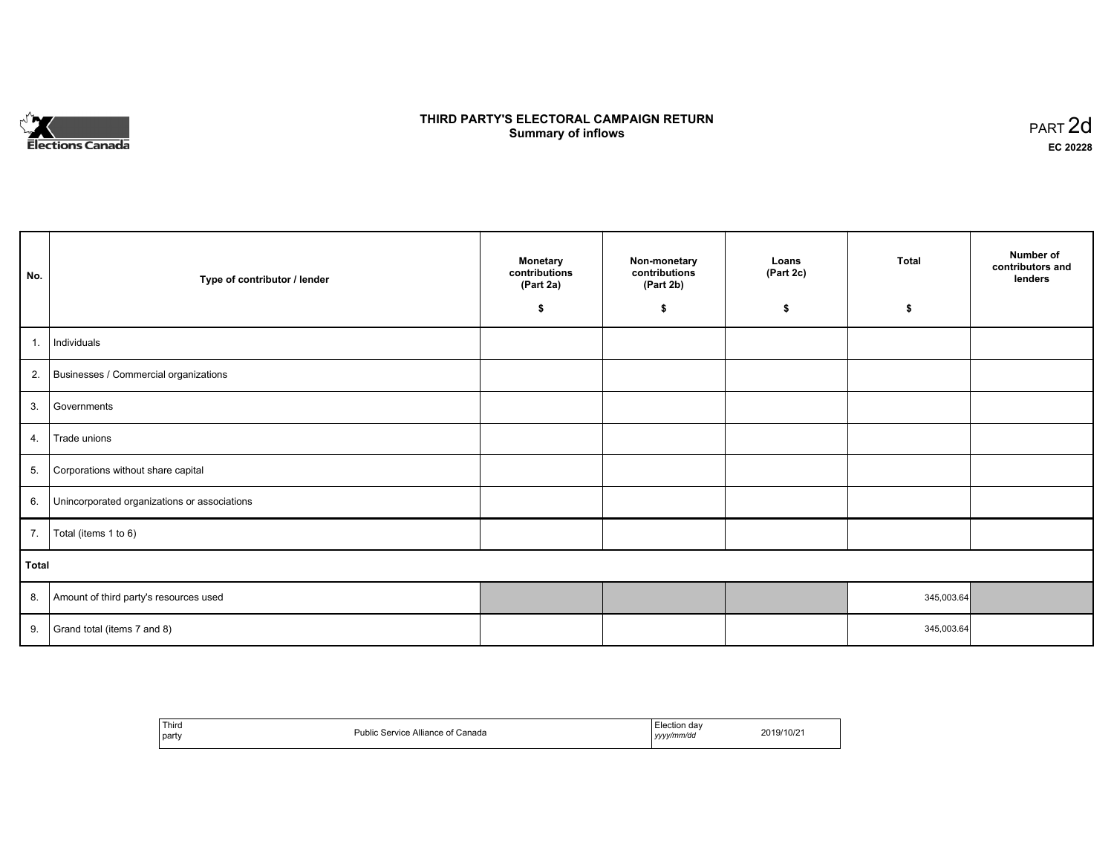

## **THIRD PARTY'S ELECTORAL CAMPAIGN RETURN S** ELECTORAL CAMPAIGN RETURN<br>Summary of inflows PART 2d

| No.   | Type of contributor / lender                 | <b>Monetary</b><br>contributions<br>(Part 2a)<br>\$ | Non-monetary<br>contributions<br>(Part 2b)<br>\$ | Loans<br>(Part 2c)<br>\$ | <b>Total</b><br>\$ | Number of<br>contributors and<br>lenders |
|-------|----------------------------------------------|-----------------------------------------------------|--------------------------------------------------|--------------------------|--------------------|------------------------------------------|
| 1.1   | Individuals                                  |                                                     |                                                  |                          |                    |                                          |
|       | 2. Businesses / Commercial organizations     |                                                     |                                                  |                          |                    |                                          |
| 3.    | Governments                                  |                                                     |                                                  |                          |                    |                                          |
| 4.    | Trade unions                                 |                                                     |                                                  |                          |                    |                                          |
| 5.    | Corporations without share capital           |                                                     |                                                  |                          |                    |                                          |
| 6.    | Unincorporated organizations or associations |                                                     |                                                  |                          |                    |                                          |
|       | 7.   Total (items 1 to 6)                    |                                                     |                                                  |                          |                    |                                          |
| Total |                                              |                                                     |                                                  |                          |                    |                                          |
| 8.    | Amount of third party's resources used       |                                                     |                                                  |                          | 345,003.64         |                                          |
| 9.    | Grand total (items 7 and 8)                  |                                                     |                                                  |                          | 345,003.64         |                                          |

| Third<br>party | : Service Alliance of Canada<br>Public. | Election dav<br>yyyy/mm/dd | 2019/10/2 |
|----------------|-----------------------------------------|----------------------------|-----------|
|----------------|-----------------------------------------|----------------------------|-----------|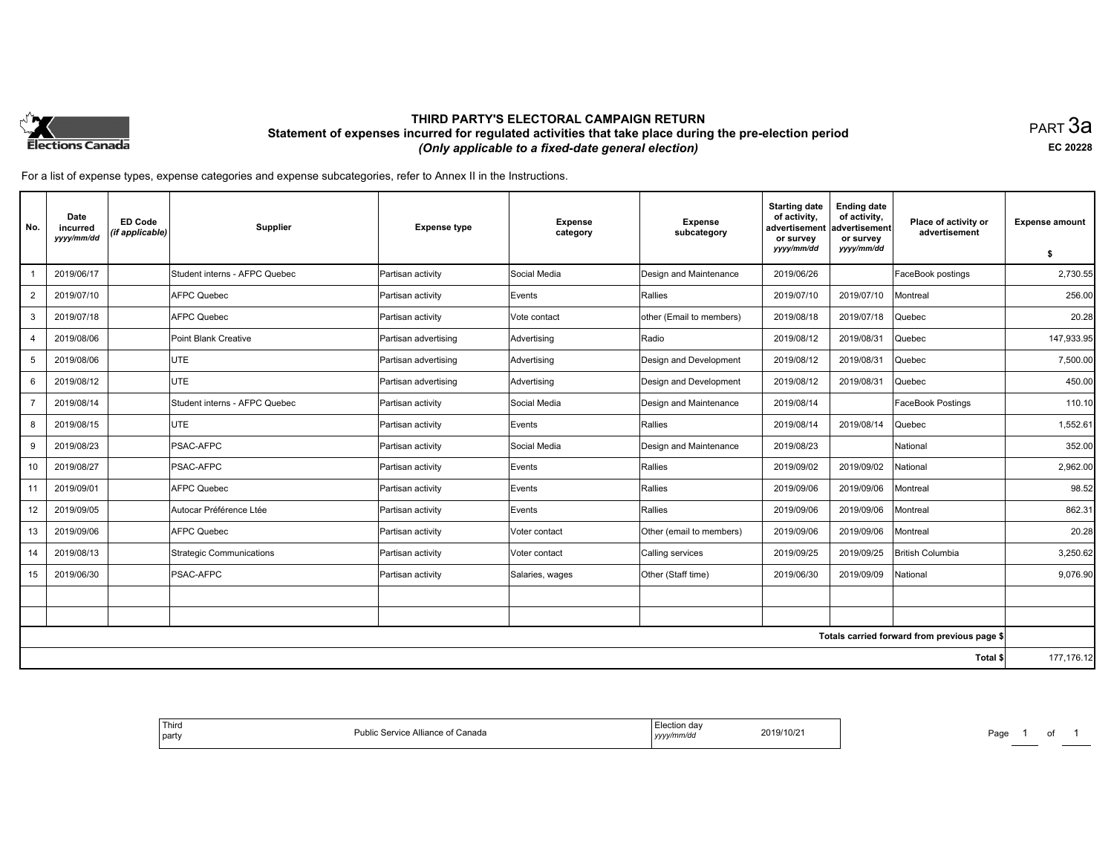

## **THIRD PARTY'S ELECTORAL CAMPAIGN RETURN Statement of expenses incurred for regulated activities that take place during the pre-election period**  *(Only applicable to a fixed-date general election)*

PART 3a **EC 20228**

For a list of expense types, expense categories and expense subcategories, refer to Annex II in the Instructions.

| No.            | Date<br>incurred<br>yyyy/mm/dd | <b>ED Code</b><br>(if applicable) | Supplier                      | <b>Expense type</b>  | <b>Expense</b><br>category | <b>Expense</b><br>subcategory | <b>Starting date</b><br>of activity,<br>advertisement<br>or survey<br>yyyy/mm/dd | <b>Ending date</b><br>of activity,<br>advertisement<br>or survey<br>yyyy/mm/dd | Place of activity or<br>advertisement        | <b>Expense amount</b><br>\$ |
|----------------|--------------------------------|-----------------------------------|-------------------------------|----------------------|----------------------------|-------------------------------|----------------------------------------------------------------------------------|--------------------------------------------------------------------------------|----------------------------------------------|-----------------------------|
|                | 2019/06/17                     |                                   | Student interns - AFPC Quebec | Partisan activity    | Social Media               | Design and Maintenance        | 2019/06/26                                                                       |                                                                                | FaceBook postings                            | 2,730.55                    |
| $\overline{2}$ | 2019/07/10                     |                                   | <b>AFPC Quebec</b>            | Partisan activity    | Events                     | Rallies                       | 2019/07/10                                                                       | 2019/07/10                                                                     | Montreal                                     | 256.00                      |
| 3              | 2019/07/18                     |                                   | <b>AFPC Quebec</b>            | Partisan activity    | Vote contact               | other (Email to members)      | 2019/08/18                                                                       | 2019/07/18                                                                     | Quebec                                       | 20.28                       |
| 4              | 2019/08/06                     |                                   | Point Blank Creative          | Partisan advertising | Advertising                | Radio                         | 2019/08/12                                                                       | 2019/08/31                                                                     | Quebec                                       | 147,933.95                  |
| 5              | 2019/08/06                     |                                   | UTE                           | Partisan advertising | Advertising                | Design and Development        | 2019/08/12                                                                       | 2019/08/31                                                                     | Quebec                                       | 7,500.00                    |
|                | 2019/08/12                     |                                   | <b>UTE</b>                    |                      |                            |                               |                                                                                  | 2019/08/31                                                                     |                                              | 450.00                      |
| 6              |                                |                                   |                               | Partisan advertising | Advertising                | Design and Development        | 2019/08/12                                                                       |                                                                                | Quebec                                       |                             |
| $\overline{7}$ | 2019/08/14                     |                                   | Student interns - AFPC Quebec | Partisan activity    | Social Media               | Design and Maintenance        | 2019/08/14                                                                       |                                                                                | FaceBook Postings                            | 110.10                      |
| 8              | 2019/08/15                     |                                   | <b>UTE</b>                    | Partisan activity    | Events                     | Rallies                       | 2019/08/14                                                                       | 2019/08/14                                                                     | Quebec                                       | 1,552.61                    |
| 9              | 2019/08/23                     |                                   | <b>PSAC-AFPC</b>              | Partisan activity    | Social Media               | Design and Maintenance        | 2019/08/23                                                                       |                                                                                | National                                     | 352.00                      |
| 10             | 2019/08/27                     |                                   | PSAC-AFPC                     | Partisan activity    | Events                     | Rallies                       | 2019/09/02                                                                       | 2019/09/02                                                                     | National                                     | 2.962.00                    |
| 11             | 2019/09/01                     |                                   | <b>AFPC Quebec</b>            | Partisan activity    | Events                     | Rallies                       | 2019/09/06                                                                       | 2019/09/06                                                                     | Montreal                                     | 98.52                       |
| 12             | 2019/09/05                     |                                   | Autocar Préférence Ltée       | Partisan activity    | Events                     | Rallies                       | 2019/09/06                                                                       | 2019/09/06                                                                     | Montreal                                     | 862.31                      |
| 13             | 2019/09/06                     |                                   | <b>AFPC Quebec</b>            | Partisan activity    | Voter contact              | Other (email to members)      | 2019/09/06                                                                       | 2019/09/06                                                                     | Montreal                                     | 20.28                       |
| 14             | 2019/08/13                     |                                   | Strategic Communications      | Partisan activity    | Voter contact              | Calling services              | 2019/09/25                                                                       | 2019/09/25                                                                     | British Columbia                             | 3,250.62                    |
| 15             | 2019/06/30                     |                                   | PSAC-AFPC                     | Partisan activity    | Salaries, wages            | Other (Staff time)            | 2019/06/30                                                                       | 2019/09/09                                                                     | National                                     | 9,076.90                    |
|                |                                |                                   |                               |                      |                            |                               |                                                                                  |                                                                                |                                              |                             |
|                |                                |                                   |                               |                      |                            |                               |                                                                                  |                                                                                |                                              |                             |
|                |                                |                                   |                               |                      |                            |                               |                                                                                  |                                                                                | Totals carried forward from previous page \$ |                             |
|                |                                |                                   |                               |                      |                            |                               |                                                                                  |                                                                                | Total \$                                     | 177, 176. 12                |
|                |                                |                                   |                               |                      |                            |                               |                                                                                  |                                                                                |                                              |                             |

| <b>Third</b><br>party | Election day<br>Public Service Alliance of Canada<br>yyyy/mm/dd | 2019/10/21<br>Page<br>. . |  |
|-----------------------|-----------------------------------------------------------------|---------------------------|--|
|-----------------------|-----------------------------------------------------------------|---------------------------|--|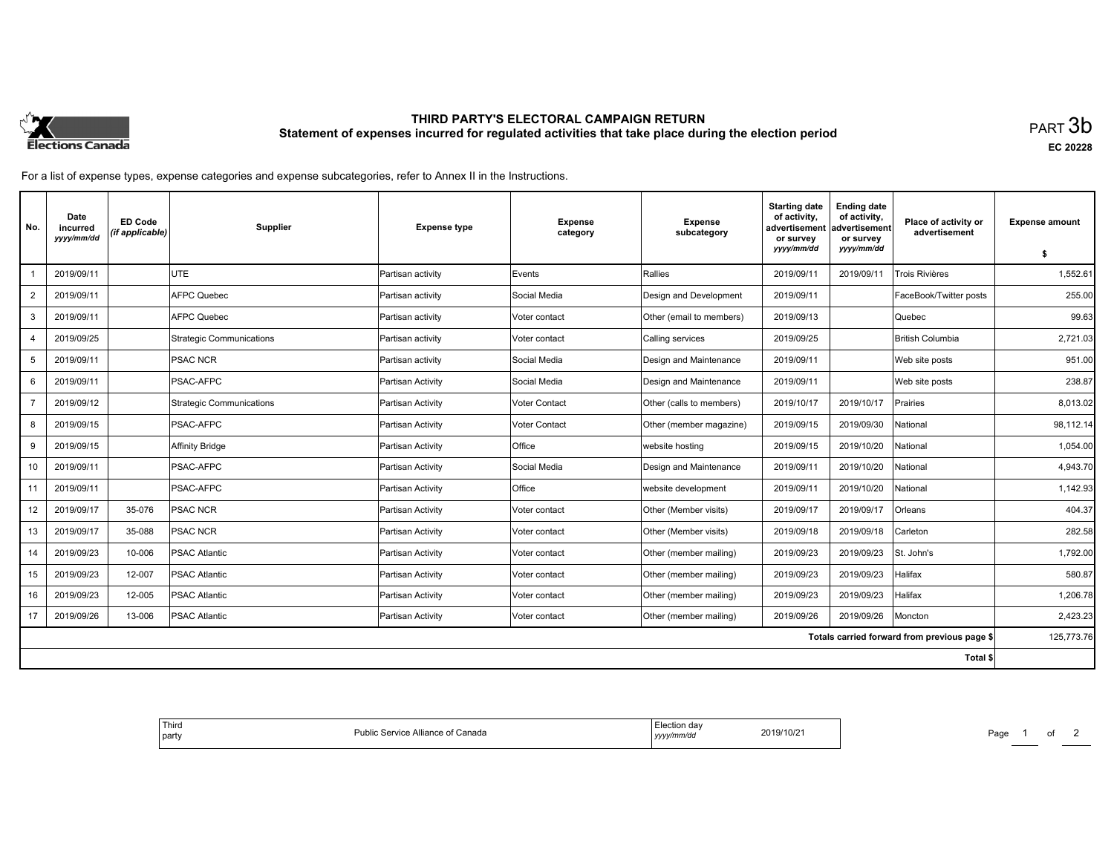

# **THIRD PARTY'S ELECTORAL CAMPAIGN RETURN Statement of expenses incurred for regulated activities that take place during the election period**<br>PART  $3\mathsf{b}$

**EC 20228**

For a list of expense types, expense categories and expense subcategories, refer to Annex II in the Instructions.

| No.                                          | Date<br>incurred<br>yyyy/mm/dd | <b>ED Code</b><br>(if applicable) | Supplier                 | <b>Expense type</b> | <b>Expense</b><br>category | <b>Expense</b><br>subcategory | <b>Starting date</b><br>of activity,<br>advertisement<br>or survey | <b>Ending date</b><br>of activity,<br>advertisement<br>or survey | Place of activity or<br>advertisement | <b>Expense amount</b> |
|----------------------------------------------|--------------------------------|-----------------------------------|--------------------------|---------------------|----------------------------|-------------------------------|--------------------------------------------------------------------|------------------------------------------------------------------|---------------------------------------|-----------------------|
|                                              |                                |                                   |                          |                     |                            |                               | yyyy/mm/dd                                                         | yyyy/mm/dd                                                       |                                       | \$                    |
|                                              | 2019/09/11                     |                                   | <b>UTE</b>               | Partisan activity   | Events                     | Rallies                       | 2019/09/11                                                         | 2019/09/11                                                       | Trois Rivières                        | 1,552.61              |
| $\overline{2}$                               | 2019/09/11                     |                                   | <b>AFPC Quebec</b>       | Partisan activity   | Social Media               | Design and Development        | 2019/09/11                                                         |                                                                  | FaceBook/Twitter posts                | 255.00                |
| 3                                            | 2019/09/11                     |                                   | AFPC Quebec              | Partisan activity   | Voter contact              | Other (email to members)      | 2019/09/13                                                         |                                                                  | Quebec                                | 99.63                 |
|                                              | 2019/09/25                     |                                   | Strategic Communications | Partisan activity   | Voter contact              | Calling services              | 2019/09/25                                                         |                                                                  | <b>British Columbia</b>               | 2,721.03              |
| 5                                            | 2019/09/11                     |                                   | <b>PSAC NCR</b>          | Partisan activity   | Social Media               | Design and Maintenance        | 2019/09/11                                                         |                                                                  | Web site posts                        | 951.00                |
| 6                                            | 2019/09/11                     |                                   | <b>PSAC-AFPC</b>         | Partisan Activity   | Social Media               | Design and Maintenance        | 2019/09/11                                                         |                                                                  | Web site posts                        | 238.87                |
|                                              | 2019/09/12                     |                                   | Strategic Communications | Partisan Activity   | <b>Voter Contact</b>       | Other (calls to members)      | 2019/10/17                                                         | 2019/10/17                                                       | Prairies                              | 8,013.02              |
| 8                                            | 2019/09/15                     |                                   | PSAC-AFPC                | Partisan Activity   | Voter Contact              | Other (member magazine)       | 2019/09/15                                                         | 2019/09/30                                                       | National                              | 98,112.14             |
| 9                                            | 2019/09/15                     |                                   | Affinity Bridge          | Partisan Activity   | Office                     | website hosting               | 2019/09/15                                                         | 2019/10/20                                                       | National                              | 1,054.00              |
| 10                                           | 2019/09/11                     |                                   | PSAC-AFPC                | Partisan Activity   | Social Media               | Design and Maintenance        | 2019/09/11                                                         | 2019/10/20                                                       | National                              | 4,943.70              |
| 11                                           | 2019/09/11                     |                                   | <b>PSAC-AFPC</b>         | Partisan Activity   | <b>Office</b>              | website development           | 2019/09/11                                                         | 2019/10/20                                                       | National                              | 1,142.93              |
| 12                                           | 2019/09/17                     | 35-076                            | <b>PSAC NCR</b>          | Partisan Activity   | Voter contact              | Other (Member visits)         | 2019/09/17                                                         | 2019/09/17                                                       | Orleans                               | 404.37                |
| 13                                           | 2019/09/17                     | 35-088                            | <b>PSAC NCR</b>          | Partisan Activity   | Voter contact              | Other (Member visits)         | 2019/09/18                                                         | 2019/09/18                                                       | Carleton                              | 282.58                |
| 14                                           | 2019/09/23                     | 10-006                            | <b>PSAC Atlantic</b>     | Partisan Activity   | Voter contact              | Other (member mailing)        | 2019/09/23                                                         | 2019/09/23                                                       | St. John's                            | 1,792.00              |
| 15                                           | 2019/09/23                     | 12-007                            | <b>PSAC Atlantic</b>     | Partisan Activity   | Voter contact              | Other (member mailing)        | 2019/09/23                                                         | 2019/09/23                                                       | Halifax                               | 580.87                |
| 16                                           | 2019/09/23                     | 12-005                            | <b>PSAC Atlantic</b>     | Partisan Activity   | Voter contact              | Other (member mailing)        | 2019/09/23                                                         | 2019/09/23                                                       | Halifax                               | 1,206.78              |
| 17                                           | 2019/09/26                     | 13-006                            | <b>PSAC Atlantic</b>     | Partisan Activity   | Voter contact              | Other (member mailing)        | 2019/09/26                                                         | 2019/09/26                                                       | Moncton                               | 2,423.23              |
| Totals carried forward from previous page \$ |                                |                                   |                          |                     |                            |                               | 125,773.76                                                         |                                                                  |                                       |                       |
|                                              |                                |                                   |                          |                     |                            |                               |                                                                    |                                                                  | Total \$                              |                       |

| 2019/10/2 |
|-----------|
|-----------|

Page 1 of 2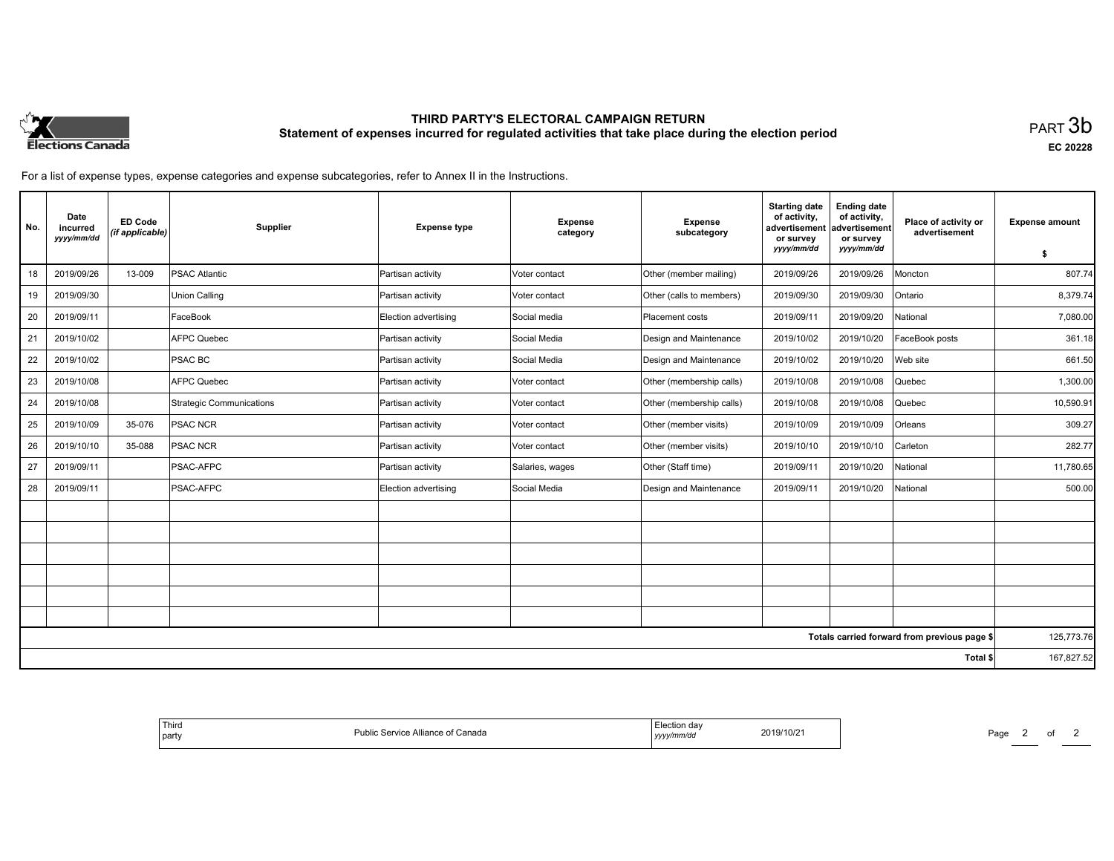

# **THIRD PARTY'S ELECTORAL CAMPAIGN RETURN Statement of expenses incurred for regulated activities that take place during the election period**<br>PART  $3\mathsf{b}$

**EC 20228**

For a list of expense types, expense categories and expense subcategories, refer to Annex II in the Instructions.

| No.                                          | Date<br>incurred<br>yyyy/mm/dd | <b>ED Code</b><br>(if applicable) | Supplier                 | <b>Expense type</b>  | <b>Expense</b><br>category | <b>Expense</b><br>subcategory | <b>Starting date</b><br>of activity,<br>advertisement<br>or survey<br>yyyy/mm/dd | <b>Ending date</b><br>of activity,<br>advertisement<br>or survey<br>yyyy/mm/dd | Place of activity or<br>advertisement | <b>Expense amount</b><br>\$ |
|----------------------------------------------|--------------------------------|-----------------------------------|--------------------------|----------------------|----------------------------|-------------------------------|----------------------------------------------------------------------------------|--------------------------------------------------------------------------------|---------------------------------------|-----------------------------|
| 18                                           | 2019/09/26                     | 13-009                            | <b>PSAC Atlantic</b>     | Partisan activity    | Voter contact              | Other (member mailing)        | 2019/09/26                                                                       | 2019/09/26                                                                     | Moncton                               | 807.74                      |
| 19                                           | 2019/09/30                     |                                   | <b>Union Calling</b>     | Partisan activity    | Voter contact              | Other (calls to members)      | 2019/09/30                                                                       | 2019/09/30                                                                     | Ontario                               | 8,379.74                    |
| 20                                           | 2019/09/11                     |                                   | FaceBook                 | Election advertising | Social media               | Placement costs               | 2019/09/11                                                                       | 2019/09/20                                                                     | National                              | 7,080.00                    |
| 21                                           | 2019/10/02                     |                                   | <b>AFPC Quebec</b>       | Partisan activity    | Social Media               | Design and Maintenance        | 2019/10/02                                                                       | 2019/10/20                                                                     | FaceBook posts                        | 361.18                      |
| 22                                           | 2019/10/02                     |                                   | <b>PSAC BC</b>           | Partisan activity    | Social Media               | Design and Maintenance        | 2019/10/02                                                                       | 2019/10/20                                                                     | Web site                              | 661.50                      |
| 23                                           | 2019/10/08                     |                                   | <b>AFPC Quebec</b>       | Partisan activity    | Voter contact              | Other (membership calls)      | 2019/10/08                                                                       | 2019/10/08                                                                     | Quebec                                | 1,300.00                    |
| 24                                           | 2019/10/08                     |                                   | Strategic Communications | Partisan activity    | Voter contact              | Other (membership calls)      | 2019/10/08                                                                       | 2019/10/08                                                                     | Quebec                                | 10,590.91                   |
| 25                                           | 2019/10/09                     | 35-076                            | <b>PSAC NCR</b>          | Partisan activity    | Voter contact              | Other (member visits)         | 2019/10/09                                                                       | 2019/10/09                                                                     | Orleans                               | 309.27                      |
| 26                                           | 2019/10/10                     | 35-088                            | <b>PSAC NCR</b>          | Partisan activity    | Voter contact              | Other (member visits)         | 2019/10/10                                                                       | 2019/10/10                                                                     | Carleton                              | 282.77                      |
| 27                                           | 2019/09/11                     |                                   | PSAC-AFPC                | Partisan activity    | Salaries, wages            | Other (Staff time)            | 2019/09/11                                                                       | 2019/10/20                                                                     | National                              | 11,780.65                   |
| 28                                           | 2019/09/11                     |                                   | PSAC-AFPC                | Election advertising | Social Media               | Design and Maintenance        | 2019/09/11                                                                       | 2019/10/20                                                                     | National                              | 500.00                      |
|                                              |                                |                                   |                          |                      |                            |                               |                                                                                  |                                                                                |                                       |                             |
|                                              |                                |                                   |                          |                      |                            |                               |                                                                                  |                                                                                |                                       |                             |
|                                              |                                |                                   |                          |                      |                            |                               |                                                                                  |                                                                                |                                       |                             |
|                                              |                                |                                   |                          |                      |                            |                               |                                                                                  |                                                                                |                                       |                             |
|                                              |                                |                                   |                          |                      |                            |                               |                                                                                  |                                                                                |                                       |                             |
|                                              |                                |                                   |                          |                      |                            |                               |                                                                                  |                                                                                |                                       |                             |
| Totals carried forward from previous page \$ |                                |                                   |                          |                      |                            |                               | 125,773.76                                                                       |                                                                                |                                       |                             |
| Total \$                                     |                                |                                   |                          |                      |                            |                               |                                                                                  |                                                                                |                                       | 167,827.52                  |

Page 2 of 2